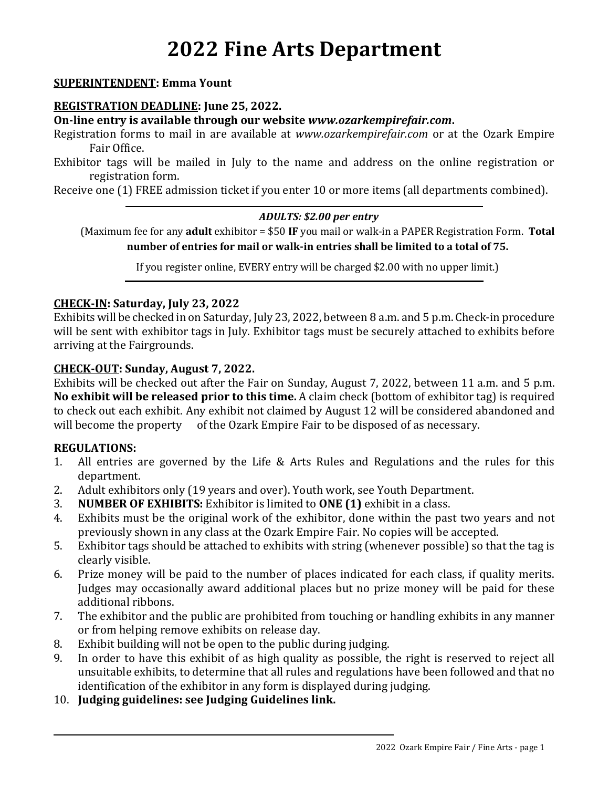# **2022 Fine Arts Department**

#### **SUPERINTENDENT: Emma Yount**

#### **REGISTRATION DEADLINE: June 25, 2022.**

**On-line entry is available through our website** *www.ozarkempirefair.com***.**

Registration forms to mail in are available at *www.ozarkempirefair.com* or at the Ozark Empire Fair Office.

Exhibitor tags will be mailed in July to the name and address on the online registration or registration form.

Receive one (1) FREE admission ticket if you enter 10 or more items (all departments combined).

#### *ADULTS: \$2.00 per entry*

(Maximum fee for any **adult** exhibitor = \$50 **IF** you mail or walk-in a PAPER Registration Form. **Total number of entries for mail or walk-in entries shall be limited to a total of 75.**

If you register online, EVERY entry will be charged \$2.00 with no upper limit.)

#### **CHECK-IN: Saturday, July 23, 2022**

Exhibits will be checked in on Saturday, July 23, 2022, between 8 a.m. and 5 p.m. Check-in procedure will be sent with exhibitor tags in July. Exhibitor tags must be securely attached to exhibits before arriving at the Fairgrounds.

#### **CHECK-OUT: Sunday, August 7, 2022.**

Exhibits will be checked out after the Fair on Sunday, August 7, 2022, between 11 a.m. and 5 p.m. **No exhibit will be released prior to this time.** A claim check (bottom of exhibitor tag) is required to check out each exhibit. Any exhibit not claimed by August 12 will be considered abandoned and will become the property of the Ozark Empire Fair to be disposed of as necessary.

#### **REGULATIONS:**

- 1. All entries are governed by the Life & Arts Rules and Regulations and the rules for this department.
- 2. Adult exhibitors only (19 years and over). Youth work, see Youth Department.
- 3. **NUMBER OF EXHIBITS:** Exhibitor is limited to **ONE (1)** exhibit in a class.
- 4. Exhibits must be the original work of the exhibitor, done within the past two years and not previously shown in any class at the Ozark Empire Fair. No copies will be accepted.
- 5. Exhibitor tags should be attached to exhibits with string (whenever possible) so that the tag is clearly visible.
- 6. Prize money will be paid to the number of places indicated for each class, if quality merits. Judges may occasionally award additional places but no prize money will be paid for these additional ribbons.
- 7. The exhibitor and the public are prohibited from touching or handling exhibits in any manner or from helping remove exhibits on release day.
- 8. Exhibit building will not be open to the public during judging.
- 9. In order to have this exhibit of as high quality as possible, the right is reserved to reject all unsuitable exhibits, to determine that all rules and regulations have been followed and that no identification of the exhibitor in any form is displayed during judging.
- 10. **Judging guidelines: see Judging Guidelines link.**